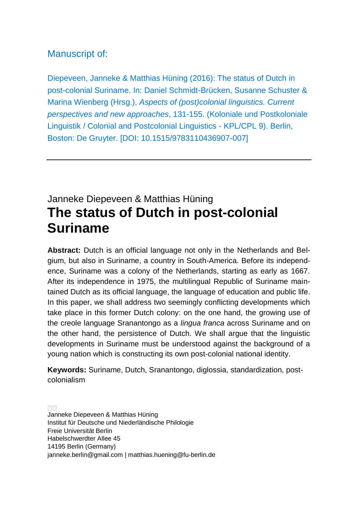#### Manuscript of:

Diepeveen, Janneke & Matthias Hüning (2016): The status of Dutch in post-colonial Suriname. In: Daniel Schmidt-Brücken, Susanne Schuster & Marina Wienberg (Hrsg.), *Aspects of (post)colonial linguistics. Current perspectives and new approaches*, 131-155. (Koloniale und Postkoloniale Linguistik / Colonial and Postcolonial Linguistics - KPL/CPL 9). Berlin, Boston: De Gruyter. [DOI: 10.1515/9783110436907-007]

# Janneke Diepeveen & Matthias Hüning **The status of Dutch in post-colonial Suriname**

**Abstract:** Dutch is an official language not only in the Netherlands and Belgium, but also in Suriname, a country in South-America. Before its independence, Suriname was a colony of the Netherlands, starting as early as 1667. After its independence in 1975, the multilingual Republic of Suriname maintained Dutch as its official language, the language of education and public life. In this paper, we shall address two seemingly conflicting developments which take place in this former Dutch colony: on the one hand, the growing use of the creole language Sranantongo as a *lingua franca* across Suriname and on the other hand, the persistence of Dutch. We shall argue that the linguistic developments in Suriname must be understood against the background of a young nation which is constructing its own post-colonial national identity.

**Keywords:** Suriname, Dutch, Sranantongo, diglossia, standardization, postcolonialism

 $\Box \Box$ Janneke Diepeveen & Matthias Hüning Institut für Deutsche und Niederländische Philologie Freie Universität Berlin Habelschwerdter Allee 45 14195 Berlin (Germany) [janneke.berlin@gmail.com](mailto:janneke.berlin@gmail.com) | matthias.huening@fu-berlin.de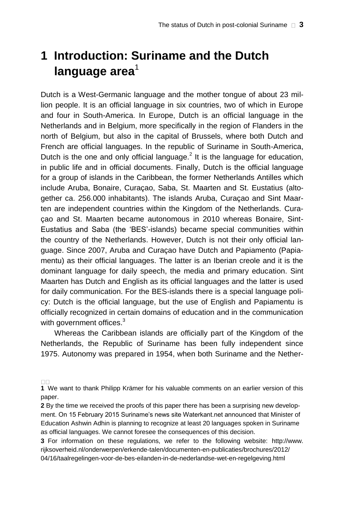# **1 Introduction: Suriname and the Dutch**  language area<sup>1</sup>

Dutch is a West-Germanic language and the mother tongue of about 23 million people. It is an official language in six countries, two of which in Europe and four in South-America. In Europe, Dutch is an official language in the Netherlands and in Belgium, more specifically in the region of Flanders in the north of Belgium, but also in the capital of Brussels, where both Dutch and French are official languages. In the republic of Suriname in South-America, Dutch is the one and only official language.<sup>2</sup> It is the language for education, in public life and in official documents. Finally, Dutch is the official language for a group of islands in the Caribbean, the former Netherlands Antilles which include Aruba, Bonaire, Curaçao, Saba, St. Maarten and St. Eustatius (altogether ca. 256.000 inhabitants). The islands Aruba, Curaçao and Sint Maarten are independent countries within the Kingdom of the Netherlands. Curaçao and St. Maarten became autonomous in 2010 whereas Bonaire, Sint-Eustatius and Saba (the 'BES'-islands) became special communities within the country of the Netherlands. However, Dutch is not their only official language. Since 2007, Aruba and Curaçao have Dutch and Papiamento (Papiamentu) as their official languages. The latter is an Iberian creole and it is the dominant language for daily speech, the media and primary education. Sint Maarten has Dutch and English as its official languages and the latter is used for daily communication. For the BES-islands there is a special language policy: Dutch is the official language, but the use of English and Papiamentu is officially recognized in certain domains of education and in the communication with government offices.<sup>3</sup>

Whereas the Caribbean islands are officially part of the Kingdom of the Netherlands, the Republic of Suriname has been fully independent since 1975. Autonomy was prepared in 1954, when both Suriname and the Nether-

**<sup>1</sup>** We want to thank Philipp Krämer for his valuable comments on an earlier version of this paper.

**<sup>2</sup>** By the time we received the proofs of this paper there has been a surprising new development. On 15 February 2015 Suriname's news site Waterkant.net announced that Minister of Education Ashwin Adhin is planning to recognize at least 20 languages spoken in Suriname as official languages. We cannot foresee the consequences of this decision.

**<sup>3</sup>** For information on these regulations, we refer to the following website: [http://www.](http://www/) rijksoverheid.nl/onderwerpen/erkende-talen/documenten-en-publicaties/brochures/2012/ 04/16/taalregelingen-voor-de-bes-eilanden-in-de-nederlandse-wet-en-regelgeving.html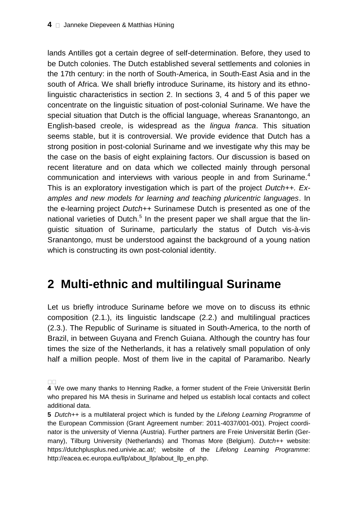lands Antilles got a certain degree of self-determination. Before, they used to be Dutch colonies. The Dutch established several settlements and colonies in the 17th century: in the north of South-America, in South-East Asia and in the south of Africa. We shall briefly introduce Suriname, its history and its ethnolinguistic characteristics in section 2. In sections 3, 4 and 5 of this paper we concentrate on the linguistic situation of post-colonial Suriname. We have the special situation that Dutch is the official language, whereas Sranantongo, an English-based creole, is widespread as the *lingua franca*. This situation seems stable, but it is controversial. We provide evidence that Dutch has a strong position in post-colonial Suriname and we investigate why this may be the case on the basis of eight explaining factors. Our discussion is based on recent literature and on data which we collected mainly through personal communication and interviews with various people in and from Suriname.<sup>4</sup> This is an exploratory investigation which is part of the project *Dutch++. Examples and new models for learning and teaching pluricentric languages*. In the e-learning project *Dutch++* Surinamese Dutch is presented as one of the national varieties of Dutch.<sup>5</sup> In the present paper we shall argue that the linguistic situation of Suriname, particularly the status of Dutch vis-à-vis Sranantongo, must be understood against the background of a young nation which is constructing its own post-colonial identity.

# **2 Multi-ethnic and multilingual Suriname**

Let us briefly introduce Suriname before we move on to discuss its ethnic composition (2.1.), its linguistic landscape (2.2.) and multilingual practices (2.3.). The Republic of Suriname is situated in South-America, to the north of Brazil, in between Guyana and French Guiana. Although the country has four times the size of the Netherlands, it has a relatively small population of only half a million people. Most of them live in the capital of Paramaribo. Nearly

**<sup>4</sup>** We owe many thanks to Henning Radke, a former student of the Freie Universität Berlin who prepared his MA thesis in Suriname and helped us establish local contacts and collect additional data.

**<sup>5</sup>** *Dutch++* is a multilateral project which is funded by the *Lifelong Learning Programme* of the European Commission (Grant Agreement number: 2011-4037/001-001). Project coordinator is the university of Vienna (Austria). Further partners are Freie Universität Berlin (Germany), Tilburg University (Netherlands) and Thomas More (Belgium). *Dutch++* website: [https://dutchplusplus.ned.univie.ac.at/;](https://dutchplusplus.ned.univie.ac.at/) website of the *Lifelong Learning Programme*: [http://eacea.ec.europa.eu/llp/about\\_llp/about\\_llp\\_en.php.](http://eacea.ec.europa.eu/llp/about_llp/about_llp_en.php)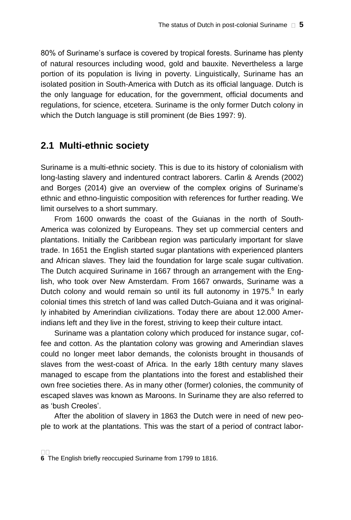80% of Suriname's surface is covered by tropical forests. Suriname has plenty of natural resources including wood, gold and bauxite. Nevertheless a large portion of its population is living in poverty. Linguistically, Suriname has an isolated position in South-America with Dutch as its official language. Dutch is the only language for education, for the government, official documents and regulations, for science, etcetera. Suriname is the only former Dutch colony in which the Dutch language is still prominent (de Bies 1997: 9).

#### **2.1 Multi-ethnic society**

Suriname is a multi-ethnic society. This is due to its history of colonialism with long-lasting slavery and indentured contract laborers. Carlin & Arends (2002) and Borges (2014) give an overview of the complex origins of Suriname's ethnic and ethno-linguistic composition with references for further reading. We limit ourselves to a short summary.

From 1600 onwards the coast of the Guianas in the north of South-America was colonized by Europeans. They set up commercial centers and plantations. Initially the Caribbean region was particularly important for slave trade. In 1651 the English started sugar plantations with experienced planters and African slaves. They laid the foundation for large scale sugar cultivation. The Dutch acquired Suriname in 1667 through an arrangement with the English, who took over New Amsterdam. From 1667 onwards, Suriname was a Dutch colony and would remain so until its full autonomy in 1975.<sup>6</sup> In early colonial times this stretch of land was called Dutch-Guiana and it was originally inhabited by Amerindian civilizations. Today there are about 12.000 Amerindians left and they live in the forest, striving to keep their culture intact.

Suriname was a plantation colony which produced for instance sugar, coffee and cotton. As the plantation colony was growing and Amerindian slaves could no longer meet labor demands, the colonists brought in thousands of slaves from the west-coast of Africa. In the early 18th century many slaves managed to escape from the plantations into the forest and established their own free societies there. As in many other (former) colonies, the community of escaped slaves was known as Maroons. In Suriname they are also referred to as 'bush Creoles'.

After the abolition of slavery in 1863 the Dutch were in need of new people to work at the plantations. This was the start of a period of contract labor-

**<sup>6</sup>** The English briefly reoccupied Suriname from 1799 to 1816.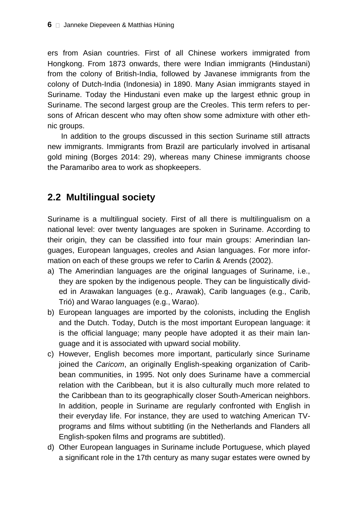ers from Asian countries. First of all Chinese workers immigrated from Hongkong. From 1873 onwards, there were Indian immigrants (Hindustani) from the colony of British-India, followed by Javanese immigrants from the colony of Dutch-India (Indonesia) in 1890. Many Asian immigrants stayed in Suriname. Today the Hindustani even make up the largest ethnic group in Suriname. The second largest group are the Creoles. This term refers to persons of African descent who may often show some admixture with other ethnic groups.

In addition to the groups discussed in this section Suriname still attracts new immigrants. Immigrants from Brazil are particularly involved in artisanal gold mining (Borges 2014: 29), whereas many Chinese immigrants choose the Paramaribo area to work as shopkeepers.

#### **2.2 Multilingual society**

Suriname is a multilingual society. First of all there is multilingualism on a national level: over twenty languages are spoken in Suriname. According to their origin, they can be classified into four main groups: Amerindian languages, European languages, creoles and Asian languages. For more information on each of these groups we refer to Carlin & Arends (2002).

- a) The Amerindian languages are the original languages of Suriname, i.e., they are spoken by the indigenous people. They can be linguistically divided in Arawakan languages (e.g., Arawak), Carib languages (e.g., Carib, Trió) and Warao languages (e.g., Warao).
- b) European languages are imported by the colonists, including the English and the Dutch. Today, Dutch is the most important European language: it is the official language; many people have adopted it as their main language and it is associated with upward social mobility.
- c) However, English becomes more important, particularly since Suriname joined the *Caricom*, an originally English-speaking organization of Caribbean communities, in 1995. Not only does Suriname have a commercial relation with the Caribbean, but it is also culturally much more related to the Caribbean than to its geographically closer South-American neighbors. In addition, people in Suriname are regularly confronted with English in their everyday life. For instance, they are used to watching American TVprograms and films without subtitling (in the Netherlands and Flanders all English-spoken films and programs are subtitled).
- d) Other European languages in Suriname include Portuguese, which played a significant role in the 17th century as many sugar estates were owned by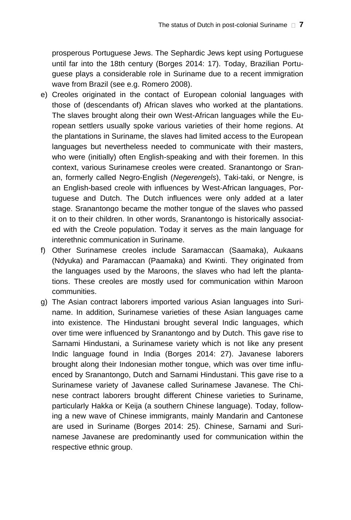prosperous Portuguese Jews. The Sephardic Jews kept using Portuguese until far into the 18th century (Borges 2014: 17). Today, Brazilian Portuguese plays a considerable role in Suriname due to a recent immigration wave from Brazil (see e.g. Romero 2008).

- e) Creoles originated in the contact of European colonial languages with those of (descendants of) African slaves who worked at the plantations. The slaves brought along their own West-African languages while the European settlers usually spoke various varieties of their home regions. At the plantations in Suriname, the slaves had limited access to the European languages but nevertheless needed to communicate with their masters, who were (initially) often English-speaking and with their foremen. In this context, various Surinamese creoles were created. Sranantongo or Sranan, formerly called Negro-English (*Negerengels*), Taki-taki, or Nengre, is an English-based creole with influences by West-African languages, Portuguese and Dutch. The Dutch influences were only added at a later stage. Sranantongo became the mother tongue of the slaves who passed it on to their children. In other words, Sranantongo is historically associated with the Creole population. Today it serves as the main language for interethnic communication in Suriname.
- f) Other Surinamese creoles include Saramaccan (Saamaka), Aukaans (Ndyuka) and Paramaccan (Paamaka) and Kwinti. They originated from the languages used by the Maroons, the slaves who had left the plantations. These creoles are mostly used for communication within Maroon communities.
- g) The Asian contract laborers imported various Asian languages into Suriname. In addition, Surinamese varieties of these Asian languages came into existence. The Hindustani brought several Indic languages, which over time were influenced by Sranantongo and by Dutch. This gave rise to Sarnami Hindustani, a Surinamese variety which is not like any present Indic language found in India (Borges 2014: 27). Javanese laborers brought along their Indonesian mother tongue, which was over time influenced by Sranantongo, Dutch and Sarnami Hindustani. This gave rise to a Surinamese variety of Javanese called Surinamese Javanese. The Chinese contract laborers brought different Chinese varieties to Suriname, particularly Hakka or Keija (a southern Chinese language). Today, following a new wave of Chinese immigrants, mainly Mandarin and Cantonese are used in Suriname (Borges 2014: 25). Chinese, Sarnami and Surinamese Javanese are predominantly used for communication within the respective ethnic group.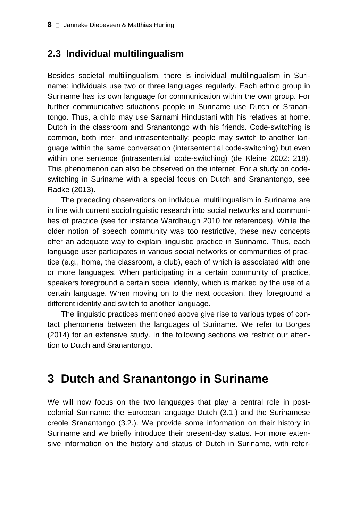#### **2.3 Individual multilingualism**

Besides societal multilingualism, there is individual multilingualism in Suriname: individuals use two or three languages regularly. Each ethnic group in Suriname has its own language for communication within the own group. For further communicative situations people in Suriname use Dutch or Sranantongo. Thus, a child may use Sarnami Hindustani with his relatives at home, Dutch in the classroom and Sranantongo with his friends. Code-switching is common, both inter- and intrasententially: people may switch to another language within the same conversation (intersentential code-switching) but even within one sentence (intrasentential code-switching) (de Kleine 2002: 218). This phenomenon can also be observed on the internet. For a study on codeswitching in Suriname with a special focus on Dutch and Sranantongo, see Radke (2013).

The preceding observations on individual multilingualism in Suriname are in line with current sociolinguistic research into social networks and communities of practice (see for instance Wardhaugh 2010 for references). While the older notion of speech community was too restrictive, these new concepts offer an adequate way to explain linguistic practice in Suriname. Thus, each language user participates in various social networks or communities of practice (e.g., home, the classroom, a club), each of which is associated with one or more languages. When participating in a certain community of practice, speakers foreground a certain social identity, which is marked by the use of a certain language. When moving on to the next occasion, they foreground a different identity and switch to another language.

The linguistic practices mentioned above give rise to various types of contact phenomena between the languages of Suriname. We refer to Borges (2014) for an extensive study. In the following sections we restrict our attention to Dutch and Sranantongo.

# **3 Dutch and Sranantongo in Suriname**

We will now focus on the two languages that play a central role in postcolonial Suriname: the European language Dutch (3.1.) and the Surinamese creole Sranantongo (3.2.). We provide some information on their history in Suriname and we briefly introduce their present-day status. For more extensive information on the history and status of Dutch in Suriname, with refer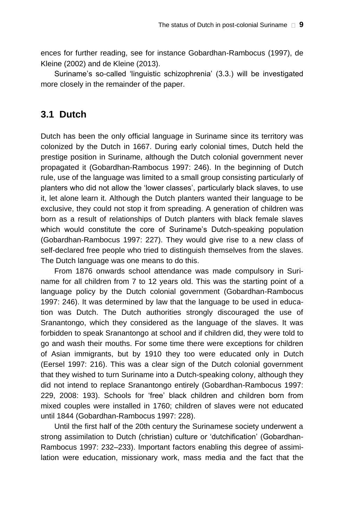ences for further reading, see for instance Gobardhan-Rambocus (1997), de Kleine (2002) and de Kleine (2013).

Suriname's so-called 'linguistic schizophrenia' (3.3.) will be investigated more closely in the remainder of the paper.

#### **3.1 Dutch**

Dutch has been the only official language in Suriname since its territory was colonized by the Dutch in 1667. During early colonial times, Dutch held the prestige position in Suriname, although the Dutch colonial government never propagated it (Gobardhan-Rambocus 1997: 246). In the beginning of Dutch rule, use of the language was limited to a small group consisting particularly of planters who did not allow the 'lower classes', particularly black slaves, to use it, let alone learn it. Although the Dutch planters wanted their language to be exclusive, they could not stop it from spreading. A generation of children was born as a result of relationships of Dutch planters with black female slaves which would constitute the core of Suriname's Dutch-speaking population (Gobardhan-Rambocus 1997: 227). They would give rise to a new class of self-declared free people who tried to distinguish themselves from the slaves. The Dutch language was one means to do this.

From 1876 onwards school attendance was made compulsory in Suriname for all children from 7 to 12 years old. This was the starting point of a language policy by the Dutch colonial government (Gobardhan-Rambocus 1997: 246). It was determined by law that the language to be used in education was Dutch. The Dutch authorities strongly discouraged the use of Sranantongo, which they considered as the language of the slaves. It was forbidden to speak Sranantongo at school and if children did, they were told to go and wash their mouths. For some time there were exceptions for children of Asian immigrants, but by 1910 they too were educated only in Dutch (Eersel 1997: 216). This was a clear sign of the Dutch colonial government that they wished to turn Suriname into a Dutch-speaking colony, although they did not intend to replace Sranantongo entirely (Gobardhan-Rambocus 1997: 229, 2008: 193). Schools for 'free' black children and children born from mixed couples were installed in 1760; children of slaves were not educated until 1844 (Gobardhan-Rambocus 1997: 228).

Until the first half of the 20th century the Surinamese society underwent a strong assimilation to Dutch (christian) culture or 'dutchification' (Gobardhan-Rambocus 1997: 232–233). Important factors enabling this degree of assimilation were education, missionary work, mass media and the fact that the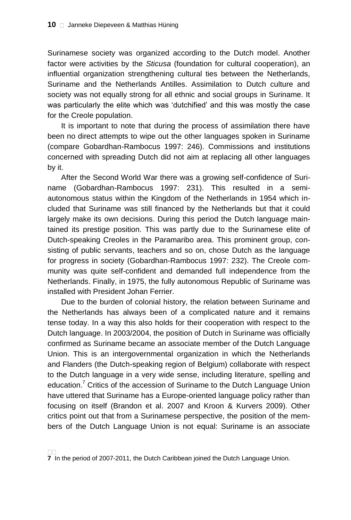Surinamese society was organized according to the Dutch model. Another factor were activities by the *Sticusa* (foundation for cultural cooperation), an influential organization strengthening cultural ties between the Netherlands, Suriname and the Netherlands Antilles. Assimilation to Dutch culture and society was not equally strong for all ethnic and social groups in Suriname. It was particularly the elite which was 'dutchified' and this was mostly the case for the Creole population.

It is important to note that during the process of assimilation there have been no direct attempts to wipe out the other languages spoken in Suriname (compare Gobardhan-Rambocus 1997: 246). Commissions and institutions concerned with spreading Dutch did not aim at replacing all other languages by it.

After the Second World War there was a growing self-confidence of Suriname (Gobardhan-Rambocus 1997: 231). This resulted in a semiautonomous status within the Kingdom of the Netherlands in 1954 which included that Suriname was still financed by the Netherlands but that it could largely make its own decisions. During this period the Dutch language maintained its prestige position. This was partly due to the Surinamese elite of Dutch-speaking Creoles in the Paramaribo area. This prominent group, consisting of public servants, teachers and so on, chose Dutch as the language for progress in society (Gobardhan-Rambocus 1997: 232). The Creole community was quite self-confident and demanded full independence from the Netherlands. Finally, in 1975, the fully autonomous Republic of Suriname was installed with President Johan Ferrier.

Due to the burden of colonial history, the relation between Suriname and the Netherlands has always been of a complicated nature and it remains tense today. In a way this also holds for their cooperation with respect to the Dutch language. In 2003/2004, the position of Dutch in Suriname was officially confirmed as Suriname became an associate member of the Dutch Language Union. This is an intergovernmental organization in which the Netherlands and Flanders (the Dutch-speaking region of Belgium) collaborate with respect to the Dutch language in a very wide sense, including literature, spelling and education.<sup>7</sup> Critics of the accession of Suriname to the Dutch Language Union have uttered that Suriname has a Europe-oriented language policy rather than focusing on itself (Brandon et al. 2007 and Kroon & Kurvers 2009). Other critics point out that from a Surinamese perspective, the position of the members of the Dutch Language Union is not equal: Suriname is an associate

**<sup>7</sup>** In the period of 2007-2011, the Dutch Caribbean joined the Dutch Language Union.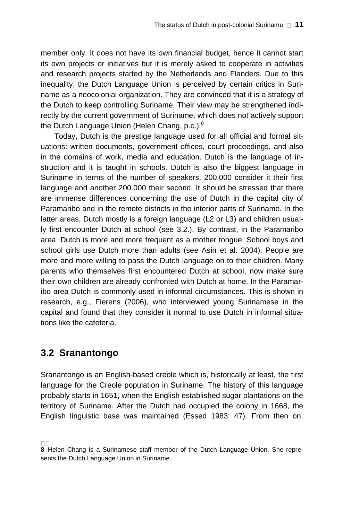member only. It does not have its own financial budget, hence it cannot start its own projects or initiatives but it is merely asked to cooperate in activities and research projects started by the Netherlands and Flanders. Due to this inequality, the Dutch Language Union is perceived by certain critics in Suriname as a neocolonial organization. They are convinced that it is a strategy of the Dutch to keep controlling Suriname. Their view may be strengthened indirectly by the current government of Suriname, which does not actively support the Dutch Language Union (Helen Chang, p.c.).<sup>8</sup>

Today, Dutch is the prestige language used for all official and formal situations: written documents, government offices, court proceedings, and also in the domains of work, media and education. Dutch is the language of instruction and it is taught in schools. Dutch is also the biggest language in Suriname in terms of the number of speakers. 200.000 consider it their first language and another 200.000 their second. It should be stressed that there are immense differences concerning the use of Dutch in the capital city of Paramaribo and in the remote districts in the interior parts of Suriname. In the latter areas, Dutch mostly is a foreign language (L2 or L3) and children usually first encounter Dutch at school (see 3.2.). By contrast, in the Paramaribo area, Dutch is more and more frequent as a mother tongue. School boys and school girls use Dutch more than adults (see Asin et al. 2004). People are more and more willing to pass the Dutch language on to their children. Many parents who themselves first encountered Dutch at school, now make sure their own children are already confronted with Dutch at home. In the Paramaribo area Dutch is commonly used in informal circumstances. This is shown in research, e.g., Fierens (2006), who interviewed young Surinamese in the capital and found that they consider it normal to use Dutch in informal situations like the cafeteria.

#### **3.2 Sranantongo**

Sranantongo is an English-based creole which is, historically at least, the first language for the Creole population in Suriname. The history of this language probably starts in 1651, when the English established sugar plantations on the territory of Suriname. After the Dutch had occupied the colony in 1668, the English linguistic base was maintained (Essed 1983: 47). From then on,

**<sup>8</sup>** Helen Chang is a Surinamese staff member of the Dutch Language Union. She represents the Dutch Language Union in Suriname.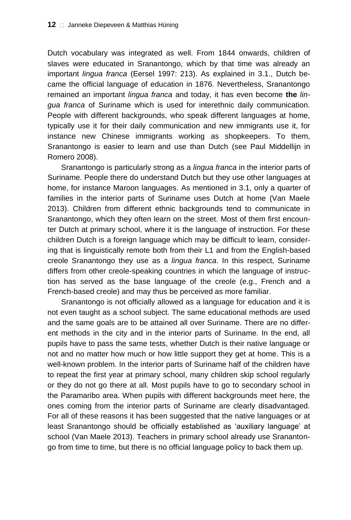Dutch vocabulary was integrated as well. From 1844 onwards, children of slaves were educated in Sranantongo, which by that time was already an important *lingua franca* (Eersel 1997: 213). As explained in 3.1., Dutch became the official language of education in 1876. Nevertheless, Sranantongo remained an important *lingua franca* and today, it has even become **the** *lingua franca* of Suriname which is used for interethnic daily communication. People with different backgrounds, who speak different languages at home, typically use it for their daily communication and new immigrants use it, for instance new Chinese immigrants working as shopkeepers. To them, Sranantongo is easier to learn and use than Dutch (see Paul Middellijn in Romero 2008).

Sranantongo is particularly strong as a *lingua franca* in the interior parts of Suriname. People there do understand Dutch but they use other languages at home, for instance Maroon languages. As mentioned in 3.1, only a quarter of families in the interior parts of Suriname uses Dutch at home (Van Maele 2013). Children from different ethnic backgrounds tend to communicate in Sranantongo, which they often learn on the street. Most of them first encounter Dutch at primary school, where it is the language of instruction. For these children Dutch is a foreign language which may be difficult to learn, considering that is linguistically remote both from their L1 and from the English-based creole Sranantongo they use as a *lingua franca*. In this respect, Suriname differs from other creole-speaking countries in which the language of instruction has served as the base language of the creole (e.g., French and a French-based creole) and may thus be perceived as more familiar.

Sranantongo is not officially allowed as a language for education and it is not even taught as a school subject. The same educational methods are used and the same goals are to be attained all over Suriname. There are no different methods in the city and in the interior parts of Suriname. In the end, all pupils have to pass the same tests, whether Dutch is their native language or not and no matter how much or how little support they get at home. This is a well-known problem. In the interior parts of Suriname half of the children have to repeat the first year at primary school, many children skip school regularly or they do not go there at all. Most pupils have to go to secondary school in the Paramaribo area. When pupils with different backgrounds meet here, the ones coming from the interior parts of Suriname are clearly disadvantaged. For all of these reasons it has been suggested that the native languages or at least Sranantongo should be officially established as 'auxiliary language' at school (Van Maele 2013). Teachers in primary school already use Sranantongo from time to time, but there is no official language policy to back them up.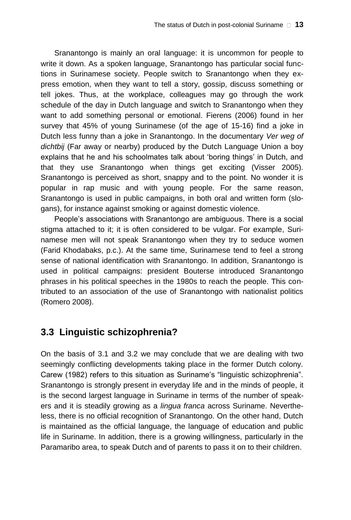Sranantongo is mainly an oral language: it is uncommon for people to write it down. As a spoken language, Sranantongo has particular social functions in Surinamese society. People switch to Sranantongo when they express emotion, when they want to tell a story, gossip, discuss something or tell jokes. Thus, at the workplace, colleagues may go through the work schedule of the day in Dutch language and switch to Sranantongo when they want to add something personal or emotional. Fierens (2006) found in her survey that 45% of young Surinamese (of the age of 15-16) find a joke in Dutch less funny than a joke in Sranantongo. In the documentary *Ver weg of dichtbij* (Far away or nearby) produced by the Dutch Language Union a boy explains that he and his schoolmates talk about 'boring things' in Dutch, and that they use Sranantongo when things get exciting (Visser 2005). Sranantongo is perceived as short, snappy and to the point. No wonder it is popular in rap music and with young people. For the same reason, Sranantongo is used in public campaigns, in both oral and written form (slogans), for instance against smoking or against domestic violence.

People's associations with Sranantongo are ambiguous. There is a social stigma attached to it; it is often considered to be vulgar. For example, Surinamese men will not speak Sranantongo when they try to seduce women (Farid Khodabaks, p.c.). At the same time, Surinamese tend to feel a strong sense of national identification with Sranantongo. In addition, Sranantongo is used in political campaigns: president Bouterse introduced Sranantongo phrases in his political speeches in the 1980s to reach the people. This contributed to an association of the use of Sranantongo with nationalist politics (Romero 2008).

## **3.3 Linguistic schizophrenia?**

On the basis of 3.1 and 3.2 we may conclude that we are dealing with two seemingly conflicting developments taking place in the former Dutch colony. Carew (1982) refers to this situation as Suriname's "linguistic schizophrenia". Sranantongo is strongly present in everyday life and in the minds of people, it is the second largest language in Suriname in terms of the number of speakers and it is steadily growing as a *lingua franca* across Suriname. Nevertheless, there is no official recognition of Sranantongo. On the other hand, Dutch is maintained as the official language, the language of education and public life in Suriname. In addition, there is a growing willingness, particularly in the Paramaribo area, to speak Dutch and of parents to pass it on to their children.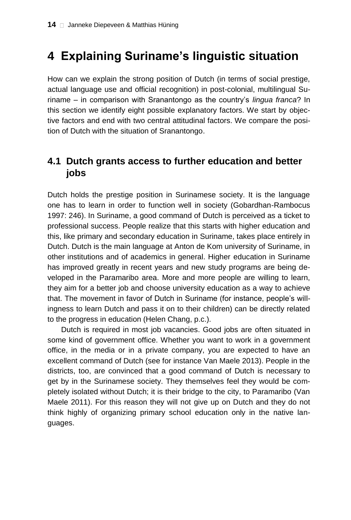# **4 Explaining Suriname's linguistic situation**

How can we explain the strong position of Dutch (in terms of social prestige, actual language use and official recognition) in post-colonial, multilingual Suriname – in comparison with Sranantongo as the country's *lingua franca*? In this section we identify eight possible explanatory factors. We start by objective factors and end with two central attitudinal factors. We compare the position of Dutch with the situation of Sranantongo.

## **4.1 Dutch grants access to further education and better jobs**

Dutch holds the prestige position in Surinamese society. It is the language one has to learn in order to function well in society (Gobardhan-Rambocus 1997: 246). In Suriname, a good command of Dutch is perceived as a ticket to professional success. People realize that this starts with higher education and this, like primary and secondary education in Suriname, takes place entirely in Dutch. Dutch is the main language at Anton de Kom university of Suriname, in other institutions and of academics in general. Higher education in Suriname has improved greatly in recent years and new study programs are being developed in the Paramaribo area. More and more people are willing to learn, they aim for a better job and choose university education as a way to achieve that. The movement in favor of Dutch in Suriname (for instance, people's willingness to learn Dutch and pass it on to their children) can be directly related to the progress in education (Helen Chang, p.c.).

Dutch is required in most job vacancies. Good jobs are often situated in some kind of government office. Whether you want to work in a government office, in the media or in a private company, you are expected to have an excellent command of Dutch (see for instance Van Maele 2013). People in the districts, too, are convinced that a good command of Dutch is necessary to get by in the Surinamese society. They themselves feel they would be completely isolated without Dutch; it is their bridge to the city, to Paramaribo (Van Maele 2011). For this reason they will not give up on Dutch and they do not think highly of organizing primary school education only in the native languages.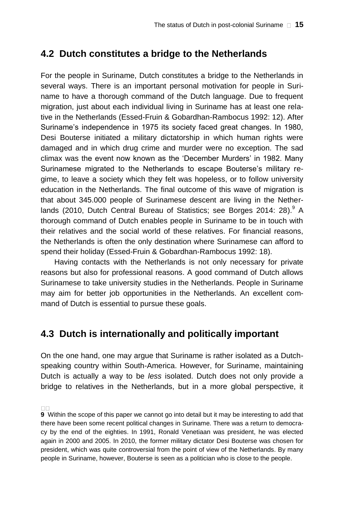#### **4.2 Dutch constitutes a bridge to the Netherlands**

For the people in Suriname, Dutch constitutes a bridge to the Netherlands in several ways. There is an important personal motivation for people in Suriname to have a thorough command of the Dutch language. Due to frequent migration, just about each individual living in Suriname has at least one relative in the Netherlands (Essed-Fruin & Gobardhan-Rambocus 1992: 12). After Suriname's independence in 1975 its society faced great changes. In 1980, Desi Bouterse initiated a military dictatorship in which human rights were damaged and in which drug crime and murder were no exception. The sad climax was the event now known as the 'December Murders' in 1982. Many Surinamese migrated to the Netherlands to escape Bouterse's military regime, to leave a society which they felt was hopeless, or to follow university education in the Netherlands. The final outcome of this wave of migration is that about 345.000 people of Surinamese descent are living in the Netherlands (2010, Dutch Central Bureau of Statistics; see Borges 2014: 28).<sup>9</sup> A thorough command of Dutch enables people in Suriname to be in touch with their relatives and the social world of these relatives. For financial reasons, the Netherlands is often the only destination where Surinamese can afford to spend their holiday (Essed-Fruin & Gobardhan-Rambocus 1992: 18).

Having contacts with the Netherlands is not only necessary for private reasons but also for professional reasons. A good command of Dutch allows Surinamese to take university studies in the Netherlands. People in Suriname may aim for better job opportunities in the Netherlands. An excellent command of Dutch is essential to pursue these goals.

## **4.3 Dutch is internationally and politically important**

On the one hand, one may argue that Suriname is rather isolated as a Dutchspeaking country within South-America. However, for Suriname, maintaining Dutch is actually a way to be *less* isolated. Dutch does not only provide a bridge to relatives in the Netherlands, but in a more global perspective, it

**<sup>9</sup>** Within the scope of this paper we cannot go into detail but it may be interesting to add that there have been some recent political changes in Suriname. There was a return to democracy by the end of the eighties. In 1991, Ronald Venetiaan was president, he was elected again in 2000 and 2005. In 2010, the former military dictator Desi Bouterse was chosen for president, which was quite controversial from the point of view of the Netherlands. By many people in Suriname, however, Bouterse is seen as a politician who is close to the people.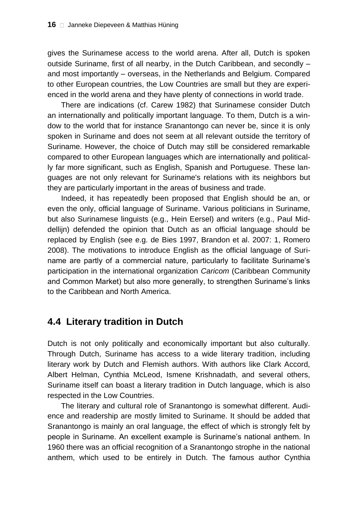gives the Surinamese access to the world arena. After all, Dutch is spoken outside Suriname, first of all nearby, in the Dutch Caribbean, and secondly – and most importantly – overseas, in the Netherlands and Belgium. Compared to other European countries, the Low Countries are small but they are experienced in the world arena and they have plenty of connections in world trade.

There are indications (cf. Carew 1982) that Surinamese consider Dutch an internationally and politically important language. To them, Dutch is a window to the world that for instance Sranantongo can never be, since it is only spoken in Suriname and does not seem at all relevant outside the territory of Suriname. However, the choice of Dutch may still be considered remarkable compared to other European languages which are internationally and politically far more significant, such as English, Spanish and Portuguese. These languages are not only relevant for Suriname's relations with its neighbors but they are particularly important in the areas of business and trade.

Indeed, it has repeatedly been proposed that English should be an, or even the only, official language of Suriname. Various politicians in Suriname, but also Surinamese linguists (e.g., Hein Eersel) and writers (e.g., Paul Middellijn) defended the opinion that Dutch as an official language should be replaced by English (see e.g. de Bies 1997, Brandon et al. 2007: 1, Romero 2008). The motivations to introduce English as the official language of Suriname are partly of a commercial nature, particularly to facilitate Suriname's participation in the international organization *Caricom* (Caribbean Community and Common Market) but also more generally, to strengthen Suriname's links to the Caribbean and North America.

## **4.4 Literary tradition in Dutch**

Dutch is not only politically and economically important but also culturally. Through Dutch, Suriname has access to a wide literary tradition, including literary work by Dutch and Flemish authors. With authors like Clark Accord, Albert Helman, Cynthia McLeod, Ismene Krishnadath, and several others, Suriname itself can boast a literary tradition in Dutch language, which is also respected in the Low Countries.

The literary and cultural role of Sranantongo is somewhat different. Audience and readership are mostly limited to Suriname. It should be added that Sranantongo is mainly an oral language, the effect of which is strongly felt by people in Suriname. An excellent example is Suriname's national anthem. In 1960 there was an official recognition of a Sranantongo strophe in the national anthem, which used to be entirely in Dutch. The famous author Cynthia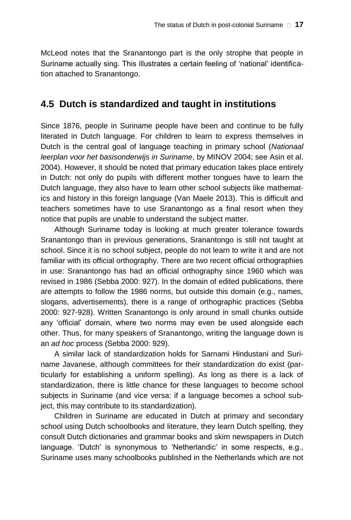McLeod notes that the Sranantongo part is the only strophe that people in Suriname actually sing. This illustrates a certain feeling of 'national' identification attached to Sranantongo.

#### **4.5 Dutch is standardized and taught in institutions**

Since 1876, people in Suriname people have been and continue to be fully literated in Dutch language. For children to learn to express themselves in Dutch is the central goal of language teaching in primary school (*Nationaal leerplan voor het basisonderwijs in Suriname*, by MINOV 2004; see Asin et al. 2004). However, it should be noted that primary education takes place entirely in Dutch: not only do pupils with different mother tongues have to learn the Dutch language, they also have to learn other school subjects like mathematics and history in this foreign language (Van Maele 2013). This is difficult and teachers sometimes have to use Sranantongo as a final resort when they notice that pupils are unable to understand the subject matter.

Although Suriname today is looking at much greater tolerance towards Sranantongo than in previous generations, Sranantongo is still not taught at school. Since it is no school subject, people do not learn to write it and are not familiar with its official orthography. There are two recent official orthographies in use: Sranantongo has had an official orthography since 1960 which was revised in 1986 (Sebba 2000: 927). In the domain of edited publications, there are attempts to follow the 1986 norms, but outside this domain (e.g., names, slogans, advertisements), there is a range of orthographic practices (Sebba 2000: 927-928). Written Sranantongo is only around in small chunks outside any 'official' domain, where two norms may even be used alongside each other. Thus, for many speakers of Sranantongo, writing the language down is an *ad hoc* process (Sebba 2000: 929).

A similar lack of standardization holds for Sarnami Hindustani and Suriname Javanese, although committees for their standardization do exist (particularly for establishing a uniform spelling). As long as there is a lack of standardization, there is little chance for these languages to become school subjects in Suriname (and vice versa: if a language becomes a school subject, this may contribute to its standardization).

Children in Suriname are educated in Dutch at primary and secondary school using Dutch schoolbooks and literature, they learn Dutch spelling, they consult Dutch dictionaries and grammar books and skim newspapers in Dutch language. 'Dutch' is synonymous to 'Netherlandic' in some respects, e.g., Suriname uses many schoolbooks published in the Netherlands which are not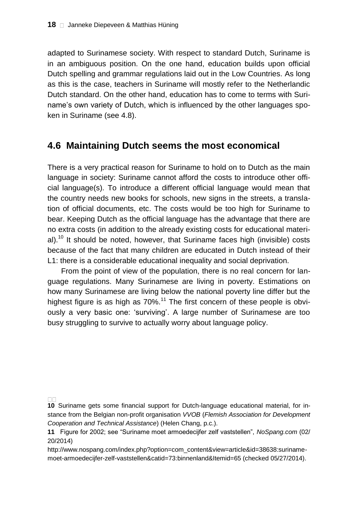adapted to Surinamese society. With respect to standard Dutch, Suriname is in an ambiguous position. On the one hand, education builds upon official Dutch spelling and grammar regulations laid out in the Low Countries. As long as this is the case, teachers in Suriname will mostly refer to the Netherlandic Dutch standard. On the other hand, education has to come to terms with Suriname's own variety of Dutch, which is influenced by the other languages spoken in Suriname (see 4.8).

#### **4.6 Maintaining Dutch seems the most economical**

There is a very practical reason for Suriname to hold on to Dutch as the main language in society: Suriname cannot afford the costs to introduce other official language(s). To introduce a different official language would mean that the country needs new books for schools, new signs in the streets, a translation of official documents, etc. The costs would be too high for Suriname to bear. Keeping Dutch as the official language has the advantage that there are no extra costs (in addition to the already existing costs for educational material).<sup>10</sup> It should be noted, however, that Suriname faces high (invisible) costs because of the fact that many children are educated in Dutch instead of their L1: there is a considerable educational inequality and social deprivation.

From the point of view of the population, there is no real concern for language regulations. Many Surinamese are living in poverty. Estimations on how many Surinamese are living below the national poverty line differ but the highest figure is as high as  $70\%$ .<sup>11</sup> The first concern of these people is obviously a very basic one: 'surviving'. A large number of Surinamese are too busy struggling to survive to actually worry about language policy.

http://www.nospang.com/index.php?option=com\_content&view=article&id=38638:surinamemoet-armoedecijfer-zelf-vaststellen&catid=73:binnenland&Itemid=65 (checked 05/27/2014).

**<sup>10</sup>** Suriname gets some financial support for Dutch-language educational material, for instance from the Belgian non-profit organisation *VVOB* (*Flemish Association for Development Cooperation and Technical Assistance*) (Helen Chang, p.c.).

**<sup>11</sup>** Figure for 2002; see "Suriname moet armoedecijfer zelf vaststellen", *NoSpang.com* (02/ 20/2014)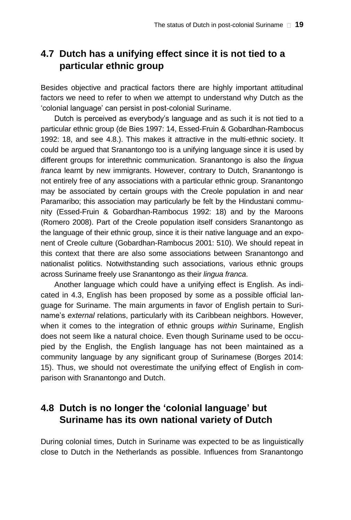## **4.7 Dutch has a unifying effect since it is not tied to a particular ethnic group**

Besides objective and practical factors there are highly important attitudinal factors we need to refer to when we attempt to understand why Dutch as the 'colonial language' can persist in post-colonial Suriname.

Dutch is perceived as everybody's language and as such it is not tied to a particular ethnic group (de Bies 1997: 14, Essed-Fruin & Gobardhan-Rambocus 1992: 18, and see 4.8.). This makes it attractive in the multi-ethnic society. It could be argued that Sranantongo too is a unifying language since it is used by different groups for interethnic communication. Sranantongo is also the *lingua franca* learnt by new immigrants. However, contrary to Dutch, Sranantongo is not entirely free of any associations with a particular ethnic group. Sranantongo may be associated by certain groups with the Creole population in and near Paramaribo; this association may particularly be felt by the Hindustani community (Essed-Fruin & Gobardhan-Rambocus 1992: 18) and by the Maroons (Romero 2008). Part of the Creole population itself considers Sranantongo as the language of their ethnic group, since it is their native language and an exponent of Creole culture (Gobardhan-Rambocus 2001: 510). We should repeat in this context that there are also some associations between Sranantongo and nationalist politics. Notwithstanding such associations, various ethnic groups across Suriname freely use Sranantongo as their *lingua franca*.

Another language which could have a unifying effect is English. As indicated in 4.3, English has been proposed by some as a possible official language for Suriname. The main arguments in favor of English pertain to Suriname's *external* relations, particularly with its Caribbean neighbors. However, when it comes to the integration of ethnic groups *within* Suriname, English does not seem like a natural choice. Even though Suriname used to be occupied by the English, the English language has not been maintained as a community language by any significant group of Surinamese (Borges 2014: 15). Thus, we should not overestimate the unifying effect of English in comparison with Sranantongo and Dutch.

## **4.8 Dutch is no longer the 'colonial language' but Suriname has its own national variety of Dutch**

During colonial times, Dutch in Suriname was expected to be as linguistically close to Dutch in the Netherlands as possible. Influences from Sranantongo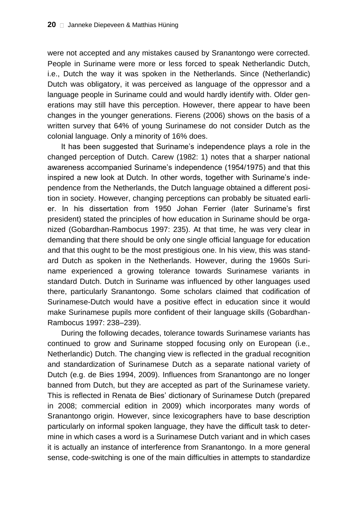were not accepted and any mistakes caused by Sranantongo were corrected. People in Suriname were more or less forced to speak Netherlandic Dutch, i.e., Dutch the way it was spoken in the Netherlands. Since (Netherlandic) Dutch was obligatory, it was perceived as language of the oppressor and a language people in Suriname could and would hardly identify with. Older generations may still have this perception. However, there appear to have been changes in the younger generations. Fierens (2006) shows on the basis of a written survey that 64% of young Surinamese do not consider Dutch as the colonial language. Only a minority of 16% does.

It has been suggested that Suriname's independence plays a role in the changed perception of Dutch. Carew (1982: 1) notes that a sharper national awareness accompanied Suriname's independence (1954/1975) and that this inspired a new look at Dutch. In other words, together with Suriname's independence from the Netherlands, the Dutch language obtained a different position in society. However, changing perceptions can probably be situated earlier. In his dissertation from 1950 Johan Ferrier (later Suriname's first president) stated the principles of how education in Suriname should be organized (Gobardhan-Rambocus 1997: 235). At that time, he was very clear in demanding that there should be only one single official language for education and that this ought to be the most prestigious one. In his view, this was standard Dutch as spoken in the Netherlands. However, during the 1960s Suriname experienced a growing tolerance towards Surinamese variants in standard Dutch. Dutch in Suriname was influenced by other languages used there, particularly Sranantongo. Some scholars claimed that codification of Surinamese-Dutch would have a positive effect in education since it would make Surinamese pupils more confident of their language skills (Gobardhan-Rambocus 1997: 238–239).

During the following decades, tolerance towards Surinamese variants has continued to grow and Suriname stopped focusing only on European (i.e., Netherlandic) Dutch. The changing view is reflected in the gradual recognition and standardization of Surinamese Dutch as a separate national variety of Dutch (e.g. de Bies 1994, 2009). Influences from Sranantongo are no longer banned from Dutch, but they are accepted as part of the Surinamese variety. This is reflected in Renata de Bies' dictionary of Surinamese Dutch (prepared in 2008; commercial edition in 2009) which incorporates many words of Sranantongo origin. However, since lexicographers have to base description particularly on informal spoken language, they have the difficult task to determine in which cases a word is a Surinamese Dutch variant and in which cases it is actually an instance of interference from Sranantongo. In a more general sense, code-switching is one of the main difficulties in attempts to standardize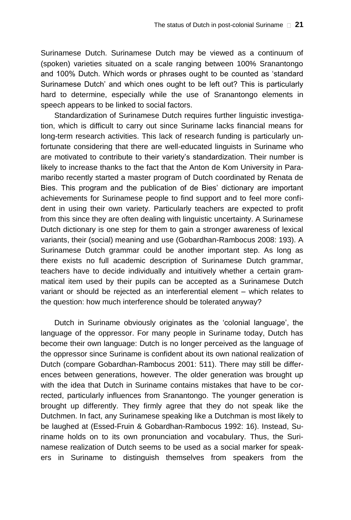Surinamese Dutch. Surinamese Dutch may be viewed as a continuum of (spoken) varieties situated on a scale ranging between 100% Sranantongo and 100% Dutch. Which words or phrases ought to be counted as 'standard Surinamese Dutch' and which ones ought to be left out? This is particularly hard to determine, especially while the use of Sranantongo elements in speech appears to be linked to social factors.

Standardization of Surinamese Dutch requires further linguistic investigation, which is difficult to carry out since Suriname lacks financial means for long-term research activities. This lack of research funding is particularly unfortunate considering that there are well-educated linguists in Suriname who are motivated to contribute to their variety's standardization. Their number is likely to increase thanks to the fact that the Anton de Kom University in Paramaribo recently started a master program of Dutch coordinated by Renata de Bies. This program and the publication of de Bies' dictionary are important achievements for Surinamese people to find support and to feel more confident in using their own variety. Particularly teachers are expected to profit from this since they are often dealing with linguistic uncertainty. A Surinamese Dutch dictionary is one step for them to gain a stronger awareness of lexical variants, their (social) meaning and use (Gobardhan-Rambocus 2008: 193). A Surinamese Dutch grammar could be another important step. As long as there exists no full academic description of Surinamese Dutch grammar, teachers have to decide individually and intuitively whether a certain grammatical item used by their pupils can be accepted as a Surinamese Dutch variant or should be rejected as an interferential element – which relates to the question: how much interference should be tolerated anyway?

Dutch in Suriname obviously originates as the 'colonial language', the language of the oppressor. For many people in Suriname today, Dutch has become their own language: Dutch is no longer perceived as the language of the oppressor since Suriname is confident about its own national realization of Dutch (compare Gobardhan-Rambocus 2001: 511). There may still be differences between generations, however. The older generation was brought up with the idea that Dutch in Suriname contains mistakes that have to be corrected, particularly influences from Sranantongo. The younger generation is brought up differently. They firmly agree that they do not speak like the Dutchmen. In fact, any Surinamese speaking like a Dutchman is most likely to be laughed at (Essed-Fruin & Gobardhan-Rambocus 1992: 16). Instead, Suriname holds on to its own pronunciation and vocabulary. Thus, the Surinamese realization of Dutch seems to be used as a social marker for speakers in Suriname to distinguish themselves from speakers from the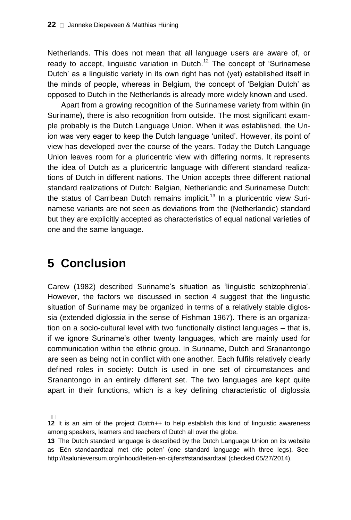Netherlands. This does not mean that all language users are aware of, or ready to accept, linguistic variation in Dutch.<sup>12</sup> The concept of 'Surinamese Dutch' as a linguistic variety in its own right has not (yet) established itself in the minds of people, whereas in Belgium, the concept of 'Belgian Dutch' as opposed to Dutch in the Netherlands is already more widely known and used.

Apart from a growing recognition of the Surinamese variety from within (in Suriname), there is also recognition from outside. The most significant example probably is the Dutch Language Union. When it was established, the Union was very eager to keep the Dutch language 'united'. However, its point of view has developed over the course of the years. Today the Dutch Language Union leaves room for a pluricentric view with differing norms. It represents the idea of Dutch as a pluricentric language with different standard realizations of Dutch in different nations. The Union accepts three different national standard realizations of Dutch: Belgian, Netherlandic and Surinamese Dutch; the status of Carribean Dutch remains implicit.<sup>13</sup> In a pluricentric view Surinamese variants are not seen as deviations from the (Netherlandic) standard but they are explicitly accepted as characteristics of equal national varieties of one and the same language.

# **5 Conclusion**

Carew (1982) described Suriname's situation as 'linguistic schizophrenia'. However, the factors we discussed in section 4 suggest that the linguistic situation of Suriname may be organized in terms of a relatively stable diglossia (extended diglossia in the sense of Fishman 1967). There is an organization on a socio-cultural level with two functionally distinct languages – that is, if we ignore Suriname's other twenty languages, which are mainly used for communication within the ethnic group. In Suriname, Dutch and Sranantongo are seen as being not in conflict with one another. Each fulfils relatively clearly defined roles in society: Dutch is used in one set of circumstances and Sranantongo in an entirely different set. The two languages are kept quite apart in their functions, which is a key defining characteristic of diglossia

**<sup>12</sup>** It is an aim of the project *Dutch++* to help establish this kind of linguistic awareness among speakers, learners and teachers of Dutch all over the globe.

**<sup>13</sup>** The Dutch standard language is described by the Dutch Language Union on its website as 'Eén standaardtaal met drie poten' (one standard language with three legs). See: http://taalunieversum.org/inhoud/feiten-en-cijfers#standaardtaal (checked 05/27/2014).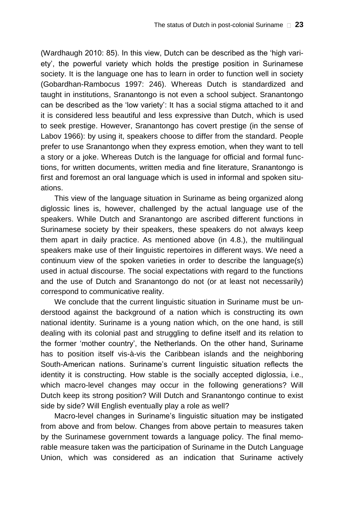(Wardhaugh 2010: 85). In this view, Dutch can be described as the 'high variety', the powerful variety which holds the prestige position in Surinamese society. It is the language one has to learn in order to function well in society (Gobardhan-Rambocus 1997: 246). Whereas Dutch is standardized and taught in institutions, Sranantongo is not even a school subject. Sranantongo can be described as the 'low variety': It has a social stigma attached to it and it is considered less beautiful and less expressive than Dutch, which is used to seek prestige. However, Sranantongo has covert prestige (in the sense of Labov 1966): by using it, speakers choose to differ from the standard. People prefer to use Sranantongo when they express emotion, when they want to tell a story or a joke. Whereas Dutch is the language for official and formal functions, for written documents, written media and fine literature, Sranantongo is first and foremost an oral language which is used in informal and spoken situations.

This view of the language situation in Suriname as being organized along diglossic lines is, however, challenged by the actual language use of the speakers. While Dutch and Sranantongo are ascribed different functions in Surinamese society by their speakers, these speakers do not always keep them apart in daily practice. As mentioned above (in 4.8.), the multilingual speakers make use of their linguistic repertoires in different ways. We need a continuum view of the spoken varieties in order to describe the language(s) used in actual discourse. The social expectations with regard to the functions and the use of Dutch and Sranantongo do not (or at least not necessarily) correspond to communicative reality.

We conclude that the current linguistic situation in Suriname must be understood against the background of a nation which is constructing its own national identity. Suriname is a young nation which, on the one hand, is still dealing with its colonial past and struggling to define itself and its relation to the former 'mother country', the Netherlands. On the other hand, Suriname has to position itself vis-à-vis the Caribbean islands and the neighboring South-American nations. Suriname's current linguistic situation reflects the identity it is constructing. How stable is the socially accepted diglossia, i.e., which macro-level changes may occur in the following generations? Will Dutch keep its strong position? Will Dutch and Sranantongo continue to exist side by side? Will English eventually play a role as well?

Macro-level changes in Suriname's linguistic situation may be instigated from above and from below. Changes from above pertain to measures taken by the Surinamese government towards a language policy. The final memorable measure taken was the participation of Suriname in the Dutch Language Union, which was considered as an indication that Suriname actively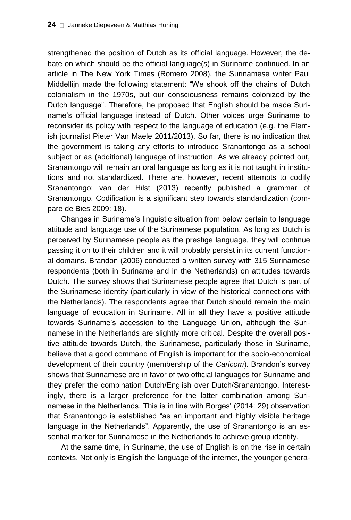strengthened the position of Dutch as its official language. However, the debate on which should be the official language(s) in Suriname continued. In an article in The New York Times (Romero 2008), the Surinamese writer Paul Middellijn made the following statement: "We shook off the chains of Dutch colonialism in the 1970s, but our consciousness remains colonized by the Dutch language". Therefore, he proposed that English should be made Suriname's official language instead of Dutch. Other voices urge Suriname to reconsider its policy with respect to the language of education (e.g. the Flemish journalist Pieter Van Maele 2011/2013). So far, there is no indication that the government is taking any efforts to introduce Sranantongo as a school subject or as (additional) language of instruction. As we already pointed out, Sranantongo will remain an oral language as long as it is not taught in institutions and not standardized. There are, however, recent attempts to codify Sranantongo: van der Hilst (2013) recently published a grammar of Sranantongo. Codification is a significant step towards standardization (compare de Bies 2009: 18).

Changes in Suriname's linguistic situation from below pertain to language attitude and language use of the Surinamese population. As long as Dutch is perceived by Surinamese people as the prestige language, they will continue passing it on to their children and it will probably persist in its current functional domains. Brandon (2006) conducted a written survey with 315 Surinamese respondents (both in Suriname and in the Netherlands) on attitudes towards Dutch. The survey shows that Surinamese people agree that Dutch is part of the Surinamese identity (particularly in view of the historical connections with the Netherlands). The respondents agree that Dutch should remain the main language of education in Suriname. All in all they have a positive attitude towards Suriname's accession to the Language Union, although the Surinamese in the Netherlands are slightly more critical. Despite the overall positive attitude towards Dutch, the Surinamese, particularly those in Suriname, believe that a good command of English is important for the socio-economical development of their country (membership of the *Caricom*). Brandon's survey shows that Surinamese are in favor of two official languages for Suriname and they prefer the combination Dutch/English over Dutch/Sranantongo. Interestingly, there is a larger preference for the latter combination among Surinamese in the Netherlands. This is in line with Borges' (2014: 29) observation that Sranantongo is established "as an important and highly visible heritage language in the Netherlands". Apparently, the use of Sranantongo is an essential marker for Surinamese in the Netherlands to achieve group identity.

At the same time, in Suriname, the use of English is on the rise in certain contexts. Not only is English the language of the internet, the younger genera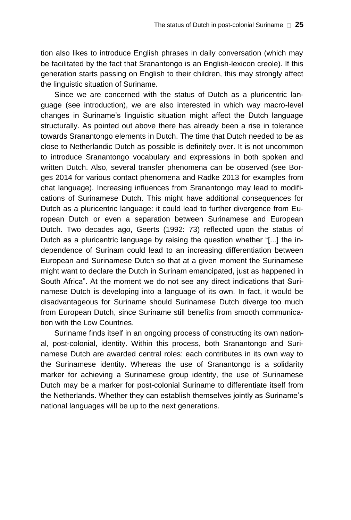tion also likes to introduce English phrases in daily conversation (which may be facilitated by the fact that Sranantongo is an English-lexicon creole). If this generation starts passing on English to their children, this may strongly affect the linguistic situation of Suriname.

Since we are concerned with the status of Dutch as a pluricentric language (see introduction), we are also interested in which way macro-level changes in Suriname's linguistic situation might affect the Dutch language structurally. As pointed out above there has already been a rise in tolerance towards Sranantongo elements in Dutch. The time that Dutch needed to be as close to Netherlandic Dutch as possible is definitely over. It is not uncommon to introduce Sranantongo vocabulary and expressions in both spoken and written Dutch. Also, several transfer phenomena can be observed (see Borges 2014 for various contact phenomena and Radke 2013 for examples from chat language). Increasing influences from Sranantongo may lead to modifications of Surinamese Dutch. This might have additional consequences for Dutch as a pluricentric language: it could lead to further divergence from European Dutch or even a separation between Surinamese and European Dutch. Two decades ago, Geerts (1992: 73) reflected upon the status of Dutch as a pluricentric language by raising the question whether "[...] the independence of Surinam could lead to an increasing differentiation between European and Surinamese Dutch so that at a given moment the Surinamese might want to declare the Dutch in Surinam emancipated, just as happened in South Africa". At the moment we do not see any direct indications that Surinamese Dutch is developing into a language of its own. In fact, it would be disadvantageous for Suriname should Surinamese Dutch diverge too much from European Dutch, since Suriname still benefits from smooth communication with the Low Countries.

Suriname finds itself in an ongoing process of constructing its own national, post-colonial, identity. Within this process, both Sranantongo and Surinamese Dutch are awarded central roles: each contributes in its own way to the Surinamese identity. Whereas the use of Sranantongo is a solidarity marker for achieving a Surinamese group identity, the use of Surinamese Dutch may be a marker for post-colonial Suriname to differentiate itself from the Netherlands. Whether they can establish themselves jointly as Suriname's national languages will be up to the next generations.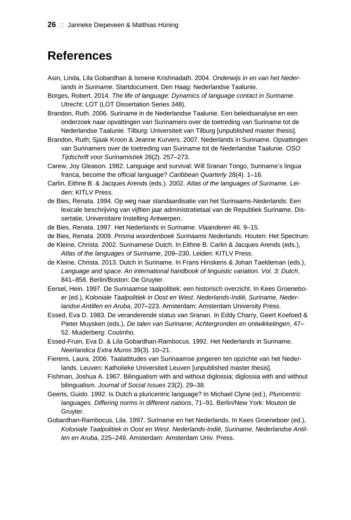## **References**

- Asin, Linda, Lila Gobardhan & Ismene Krishnadath. 2004. *Onderwijs in en van het Nederlands in Suriname.* Startdocument. Den Haag: Nederlandse Taalunie.
- Borges, Robert. 2014. *The life of language: Dynamics of language contact in Suriname*. Utrecht: LOT (LOT Dissertation Series 348).
- Brandon, Ruth. 2006. Suriname in de Nederlandse Taalunie. Een beleidsanalyse en een onderzoek naar opvattingen van Surinamers over de toetreding van Suriname tot de Nederlandse Taalunie*.* Tilburg: Universiteit van Tilburg [unpublished master thesis].
- Brandon, Ruth; Sjaak Kroon & Jeanne Kurvers. 2007. Nederlands in Suriname. Opvattingen van Surinamers over de toetreding van Suriname tot de Nederlandse Taalunie. *OSO Tijdschrift voor Surinamistiek* 26(2). 257–273.
- Carew, Joy Gleason. 1982. Language and survival: Will Sranan Tongo, Suriname's lingua franca, become the official language? *Caribbean Quarterly* 28(4). 1–16.
- Carlin, Eithne B. & Jacques Arends (eds.). 2002. *Atlas of the languages of Suriname.* Leiden: KITLV Press.
- de Bies, Renata. 1994. Op weg naar standaardisatie van het Surinaams-Nederlands: Een lexicale beschrijving van vijftien jaar administratietaal van de Republiek Suriname. Dissertatie, Universitaire Instelling Antwerpen.
- de Bies, Renata. 1997. Het Nederlands in Suriname. *Vlaanderen* 46. 9–15.
- de Bies, Renata. 2009. *Prisma woordenboek Surinaams Nederlands*. Houten: Het Spectrum.
- de Kleine, Christa. 2002. Surinamese Dutch. In Eithne B. Carlin & Jacques Arends (eds.), *Atlas of the languages of Suriname*, 209–230. Leiden: KITLV Press.
- de Kleine, Christa. 2013. Dutch in Suriname. In Frans Hinskens & Johan Taeldeman (eds.), *Language and space. An international handbook of linguistic variation. Vol. 3: Dutch*, 841–858. Berlin/Boston: De Gruyter.
- Eersel, Hein. 1997. De Surinaamse taalpolitiek: een historisch overzicht. In Kees Groeneboer (ed.), *Koloniale Taalpolitiek in Oost en West*. *Nederlands-Indië, Suriname, Nederlandse Antillen en Aruba*, 207–223. Amsterdam: Amsterdam University Press.
- Essed, Eva D. 1983. De veranderende status van Sranan. In Eddy Charry, Geert Koefoed & Pieter Muysken (eds.), *De talen van Suriname; Achtergronden en ontwikkelingen*, 47– 52. Muiderberg: Coutinho.
- Essed-Fruin, Eva D. & Lila Gobardhan-Rambocus. 1992. Het Nederlands in Suriname. *Neerlandica Extra Muros* 39(3). 10–21.
- Fierens, Laura. 2006. Taalattitudes van Surinaamse jongeren ten opzichte van het Nederlands. Leuven: Katholieke Universiteit Leuven [unpublished master thesis].
- Fishman, Joshua A. 1967. Bilingualism with and without diglossia; diglossia with and without bilingualism. *Journal of Social Issues* 23(2). 29–38.
- Geerts, Guido. 1992. Is Dutch a pluricentric language? In Michael Clyne (ed.), *Pluricentric languages. Differing norms in different nations*, 71–91. Berlin/New York: Mouton de Gruyter.
- Gobardhan-Rambocus, Lila. 1997. Suriname en het Nederlands. In Kees Groeneboer (ed.), *Koloniale Taalpolitiek in Oost en West*. *Nederlands-Indië, Suriname, Nederlandse Antillen en Aruba*, 225–249. Amsterdam: Amsterdam Univ. Press.